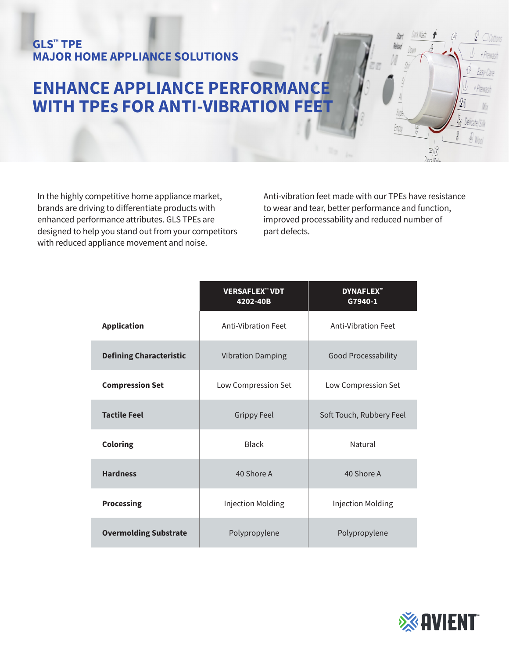## **GLS™ TPE MAJOR HOME APPLIANCE SOLUTIONS**

## **ENHANCE APPLIANCE PERFORMANCE WITH TPEs FOR ANTI-VIBRATION FEET**

In the highly competitive home appliance market, brands are driving to differentiate products with enhanced performance attributes. GLS TPEs are designed to help you stand out from your competitors with reduced appliance movement and noise.

Anti-vibration feet made with our TPEs have resistance to wear and tear, better performance and function, improved processability and reduced number of part defects.

Supe.

Empty

Off

M

g

 $\frac{1}{\text{Rinc}_2/\text{C}}$ 

Lix Delicate S

y Wool

Easy-l + Prevas

 $\sqrt{q}$ 

|                                | <b>VERSAFLEX<sup>"</sup> VDT</b><br>4202-40B | <b>DYNAFLEX<sup>™</sup></b><br>G7940-1 |
|--------------------------------|----------------------------------------------|----------------------------------------|
| <b>Application</b>             | Anti-Vibration Feet                          | <b>Anti-Vibration Feet</b>             |
| <b>Defining Characteristic</b> | <b>Vibration Damping</b>                     | <b>Good Processability</b>             |
| <b>Compression Set</b>         | Low Compression Set                          | Low Compression Set                    |
| <b>Tactile Feel</b>            | <b>Grippy Feel</b>                           | Soft Touch, Rubbery Feel               |
| <b>Coloring</b>                | <b>Black</b>                                 | Natural                                |
| <b>Hardness</b>                | 40 Shore A                                   | 40 Shore A                             |
| <b>Processing</b>              | <b>Injection Molding</b>                     | Injection Molding                      |
| <b>Overmolding Substrate</b>   | Polypropylene                                | Polypropylene                          |